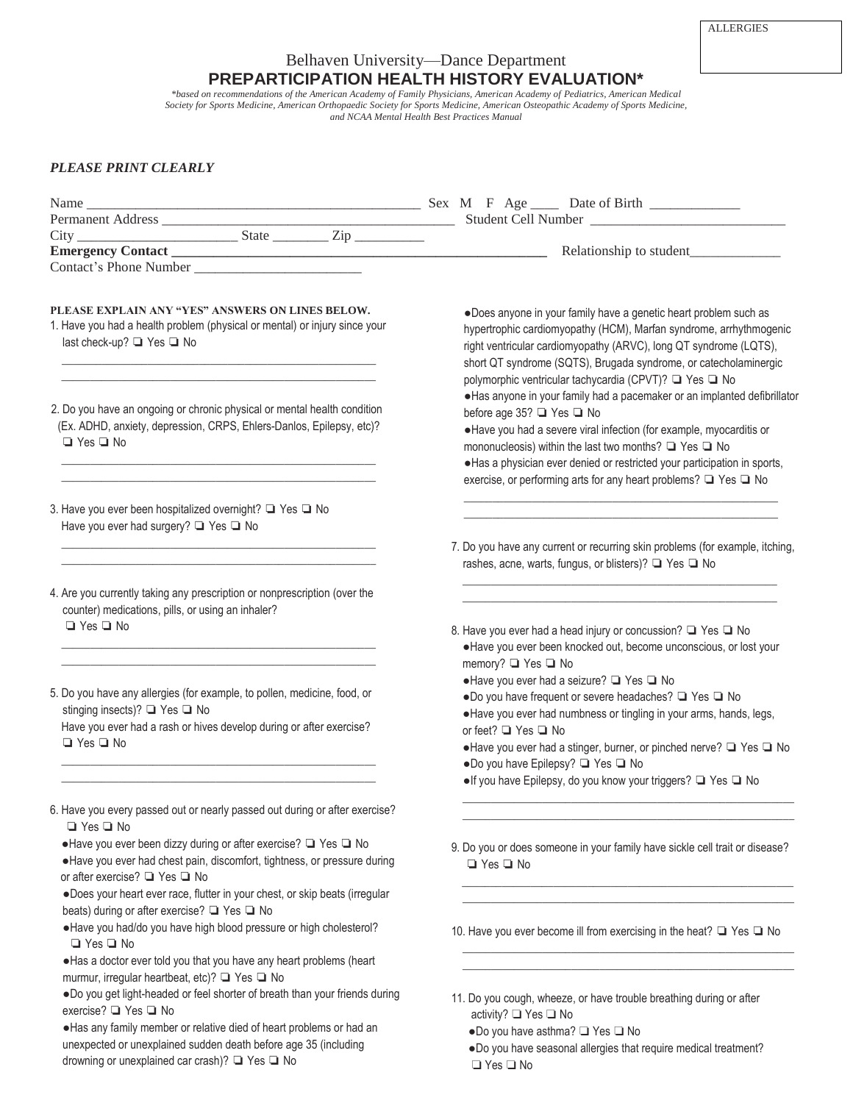## Belhaven University—Dance Department **PREPARTICIPATION HEALTH HISTORY EVALUATION\***

*\*based on recommendations of the American Academy of Family Physicians, American Academy of Pediatrics, American Medical Society for Sports Medicine, American Orthopaedic Society for Sports Medicine, American Osteopathic Academy of Sports Medicine, and NCAA Mental Health Best Practices Manual*

## *PLEASE PRINT CLEARLY*

drowning or unexplained car crash)? ❏ Yes ❏ No

| Permanent Address<br>City State State State State State Student Cell Number<br>Emergency Contact State State State Relationship to student                                                                                                                                                      |                                                                                                                                                                                                                                                                                                                                                                                                   |
|-------------------------------------------------------------------------------------------------------------------------------------------------------------------------------------------------------------------------------------------------------------------------------------------------|---------------------------------------------------------------------------------------------------------------------------------------------------------------------------------------------------------------------------------------------------------------------------------------------------------------------------------------------------------------------------------------------------|
|                                                                                                                                                                                                                                                                                                 |                                                                                                                                                                                                                                                                                                                                                                                                   |
| Contact's Phone Number                                                                                                                                                                                                                                                                          |                                                                                                                                                                                                                                                                                                                                                                                                   |
| PLEASE EXPLAIN ANY "YES" ANSWERS ON LINES BELOW.<br>1. Have you had a health problem (physical or mental) or injury since your<br>last check-up? □ Yes □ No                                                                                                                                     | .Does anyone in your family have a genetic heart problem such as<br>hypertrophic cardiomyopathy (HCM), Marfan syndrome, arrhythmogenic<br>right ventricular cardiomyopathy (ARVC), long QT syndrome (LQTS),<br>short QT syndrome (SQTS), Brugada syndrome, or catecholaminergic<br>polymorphic ventricular tachycardia (CPVT)? ■ Yes ■ No                                                         |
| 2. Do you have an ongoing or chronic physical or mental health condition<br>(Ex. ADHD, anxiety, depression, CRPS, Ehlers-Danlos, Epilepsy, etc)?<br>$\Box$ Yes $\Box$ No                                                                                                                        | · Has anyone in your family had a pacemaker or an implanted defibrillator<br>before age 35? ■ Yes ■ No<br>. Have you had a severe viral infection (for example, myocarditis or<br>mononucleosis) within the last two months? $\Box$ Yes $\Box$ No<br>· Has a physician ever denied or restricted your participation in sports,<br>exercise, or performing arts for any heart problems? □ Yes □ No |
| 3. Have you ever been hospitalized overnight? ■ Yes ■ No<br>Have you ever had surgery? ■ Yes ■ No                                                                                                                                                                                               |                                                                                                                                                                                                                                                                                                                                                                                                   |
|                                                                                                                                                                                                                                                                                                 | 7. Do you have any current or recurring skin problems (for example, itching,<br>rashes, acne, warts, fungus, or blisters)? ■ Yes ■ No                                                                                                                                                                                                                                                             |
| 4. Are you currently taking any prescription or nonprescription (over the<br>counter) medications, pills, or using an inhaler?<br>$\Box$ Yes $\Box$ No                                                                                                                                          |                                                                                                                                                                                                                                                                                                                                                                                                   |
|                                                                                                                                                                                                                                                                                                 | 8. Have you ever had a head injury or concussion? □ Yes □ No<br>· Have you ever been knocked out, become unconscious, or lost your<br>memory? □ Yes □ No                                                                                                                                                                                                                                          |
| 5. Do you have any allergies (for example, to pollen, medicine, food, or<br>stinging insects)? ■ Yes ■ No<br>Have you ever had a rash or hives develop during or after exercise?<br>$\Box$ Yes $\Box$ No                                                                                        | .Have you ever had a seizure? ■ Yes ■ No<br>.Do you have frequent or severe headaches? □ Yes □ No<br>• Have you ever had numbness or tingling in your arms, hands, legs,<br>or feet? □ Yes □ No                                                                                                                                                                                                   |
|                                                                                                                                                                                                                                                                                                 | • Have you ever had a stinger, burner, or pinched nerve? ■ Yes ■ No<br>.Do you have Epilepsy? □ Yes □ No                                                                                                                                                                                                                                                                                          |
|                                                                                                                                                                                                                                                                                                 | • If you have Epilepsy, do you know your triggers? □ Yes □ No                                                                                                                                                                                                                                                                                                                                     |
| 6. Have you every passed out or nearly passed out during or after exercise?<br>$\Box$ Yes $\Box$ No                                                                                                                                                                                             |                                                                                                                                                                                                                                                                                                                                                                                                   |
| • Have you ever been dizzy during or after exercise? ■ Yes ■ No<br>. Have you ever had chest pain, discomfort, tightness, or pressure during<br>or after exercise? □ Yes □ No<br>.Does your heart ever race, flutter in your chest, or skip beats (irregular                                    | 9. Do you or does someone in your family have sickle cell trait or disease?<br>$\Box$ Yes $\Box$ No                                                                                                                                                                                                                                                                                               |
| beats) during or after exercise? ■ Yes ■ No<br>•Have you had/do you have high blood pressure or high cholesterol?                                                                                                                                                                               | 10. Have you ever become ill from exercising in the heat? □ Yes □ No                                                                                                                                                                                                                                                                                                                              |
| $\Box$ Yes $\Box$ No<br>. Has a doctor ever told you that you have any heart problems (heart                                                                                                                                                                                                    |                                                                                                                                                                                                                                                                                                                                                                                                   |
| murmur, irregular heartbeat, etc)? ■ Yes ■ No<br>.Do you get light-headed or feel shorter of breath than your friends during<br>exercise? ■ Yes ■ No<br>. Has any family member or relative died of heart problems or had an<br>unexpected or unexplained sudden death before age 35 (including | 11. Do you cough, wheeze, or have trouble breathing during or after<br>activity? □ Yes □ No<br>.Do you have asthma? □ Yes □ No<br>•Do you have seasonal allergies that require medical treatment?                                                                                                                                                                                                 |

 ●Do you have seasonal allergies that require medical treatment? ❏ Yes ❏ No